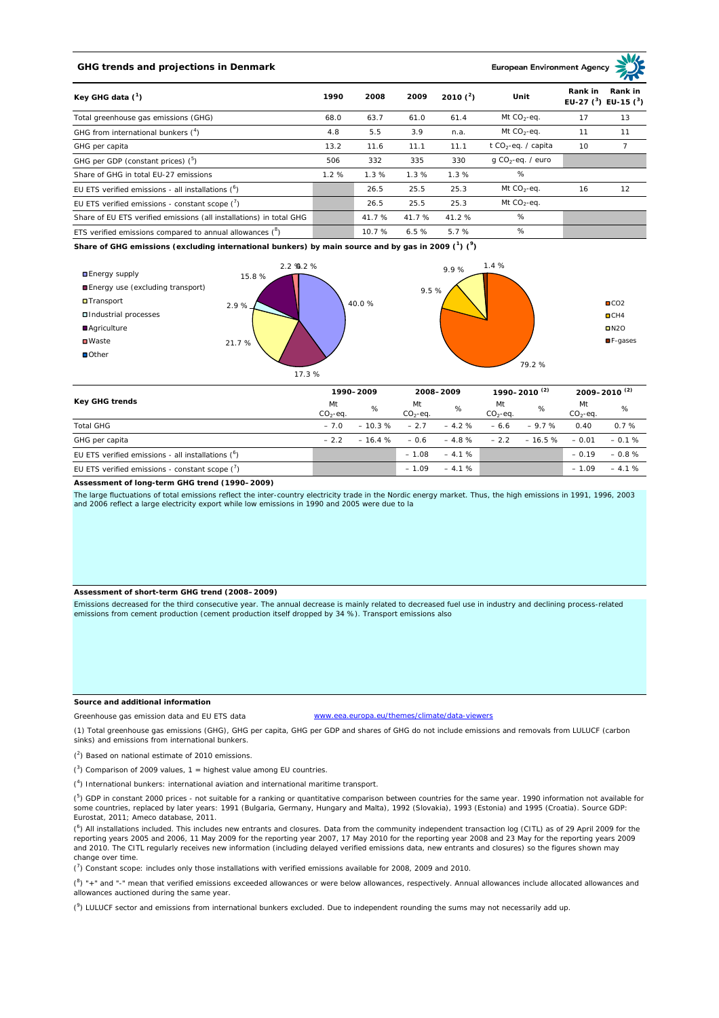## **GHG trends and projections in Denmark**

### European Environment Age

| Key GHG data $(^1)$                                                 | 1990 | 2008   | 2009   | 2010 $(^{2})$ | Unit                            | Rank in | Rank in<br>EU-27 $(^3)$ EU-15 $(^3)$ |
|---------------------------------------------------------------------|------|--------|--------|---------------|---------------------------------|---------|--------------------------------------|
| Total greenhouse gas emissions (GHG)                                | 68.0 | 63.7   | 61.0   | 61.4          | Mt $CO_2$ -eq.                  | 17      | 13                                   |
| GHG from international bunkers $(^4)$                               | 4.8  | 5.5    | 3.9    | n.a.          | Mt $CO_2$ -eq.                  | 11      | 11                                   |
| GHG per capita                                                      | 13.2 | 11.6   | 11.1   | 11.1          | t CO <sub>2</sub> -eq. / capita | 10      |                                      |
| GHG per GDP (constant prices) $(^5)$                                | 506  | 332    | 335    | 330           | $q$ CO <sub>2</sub> -eq. / euro |         |                                      |
| Share of GHG in total EU-27 emissions                               | 1.2% | 1.3%   | 1.3%   | 1.3%          | %                               |         |                                      |
| EU ETS verified emissions - all installations $(^6)$                |      | 26.5   | 25.5   | 25.3          | Mt $CO_2$ -eq.                  | 16      | 12                                   |
| EU ETS verified emissions - constant scope $(7)$                    |      | 26.5   | 25.5   | 25.3          | Mt $CO_2$ -eq.                  |         |                                      |
| Share of EU ETS verified emissions (all installations) in total GHG |      | 41.7 % | 41.7 % | 41.2%         | %                               |         |                                      |
| ETS verified emissions compared to annual allowances $(^8)$         |      | 10.7 % | 6.5%   | 5.7%          | %                               |         |                                      |

**Share of GHG emissions (excluding international bunkers) by main source and by gas in 2009 (<sup>1</sup> ) (<sup>9</sup> )**



| Key GHG trends                                            | 1990-2009       |          | 2008-2009       |         | 1990-2010 <sup>(2)</sup> |          | $2009 - 2010^{(2)}$ |         |
|-----------------------------------------------------------|-----------------|----------|-----------------|---------|--------------------------|----------|---------------------|---------|
|                                                           | Mt<br>$CO2-eq.$ | %        | Mt<br>$CO2-ea.$ | %       | Mt<br>$CO2-ea.$          | %        | Mt<br>$CO2-ea.$     | %       |
| <b>Total GHG</b>                                          | $-7.0$          | $-10.3%$ | $-2.7$          | $-4.2%$ | $-6.6$                   | $-9.7%$  | 0.40                | 0.7%    |
| GHG per capita                                            | $-22$           | $-16.4%$ | $-0.6$          | $-4.8%$ | $-2.2$                   | $-16.5%$ | $-0.01$             | $-0.1%$ |
| EU ETS verified emissions - all installations $(^6)$      |                 |          | $-1.08$         | $-4.1%$ |                          |          | $-0.19$             | $-0.8%$ |
| EU ETS verified emissions - constant scope $\binom{7}{1}$ |                 |          | $-1.09$         | $-4.1%$ |                          |          | $-1.09$             | $-4.1%$ |

**Assessment of long-term GHG trend (1990–2009)**

The large fluctuations of total emissions reflect the inter-country electricity trade in the Nordic energy market. Thus, the high emissions in 1991, 1996, 2003 and 2006 reflect a large electricity export while low emissions in 1990 and 2005 were due to la

#### **Assessment of short-term GHG trend (2008–2009)**

Emissions decreased for the third consecutive year. The annual decrease is mainly related to decreased fuel use in industry and declining process-related emissions from cement production (cement production itself dropped by 34 %). Transport emissions also

#### **Source and additional information**

www.eea.europa.eu/themes/climate/data-viewers

(1) Total greenhouse gas emissions (GHG), GHG per capita, GHG per GDP and shares of GHG do not include emissions and removals from LULUCF (carbon sinks) and emissions from international bunkers.

( 2 ) Based on national estimate of 2010 emissions.

Greenhouse gas emission data and EU ETS data

 $(3)$  Comparison of 2009 values, 1 = highest value among EU countries.

( 4 ) International bunkers: international aviation and international maritime transport.

 $(^{5})$  GDP in constant 2000 prices - not suitable for a ranking or quantitative comparison between countries for the same year. 1990 information not available for some countries, replaced by later years: 1991 (Bulgaria, Germany, Hungary and Malta), 1992 (Slovakia), 1993 (Estonia) and 1995 (Croatia). Source GDP: Eurostat, 2011; Ameco database, 2011.

(<sup>6</sup>) All installations included. This includes new entrants and closures. Data from the community independent transaction log (CITL) as of 29 April 2009 for the<br>reporting years 2005 and 2006, 11 May 2009 for the reporting and 2010. The CITL regularly receives new information (including delayed verified emissions data, new entrants and closures) so the figures shown may change over time.

 $\binom{7}{1}$  Constant scope: includes only those installations with verified emissions available for 2008, 2009 and 2010.

 $(^{8}$ ) " $+$ " and "-" mean that verified emissions exceeded allowances or were below allowances, respectively. Annual allowances include allocated allowances and allowances auctioned during the same year.

 $(2)$  LULUCF sector and emissions from international bunkers excluded. Due to independent rounding the sums may not necessarily add up.